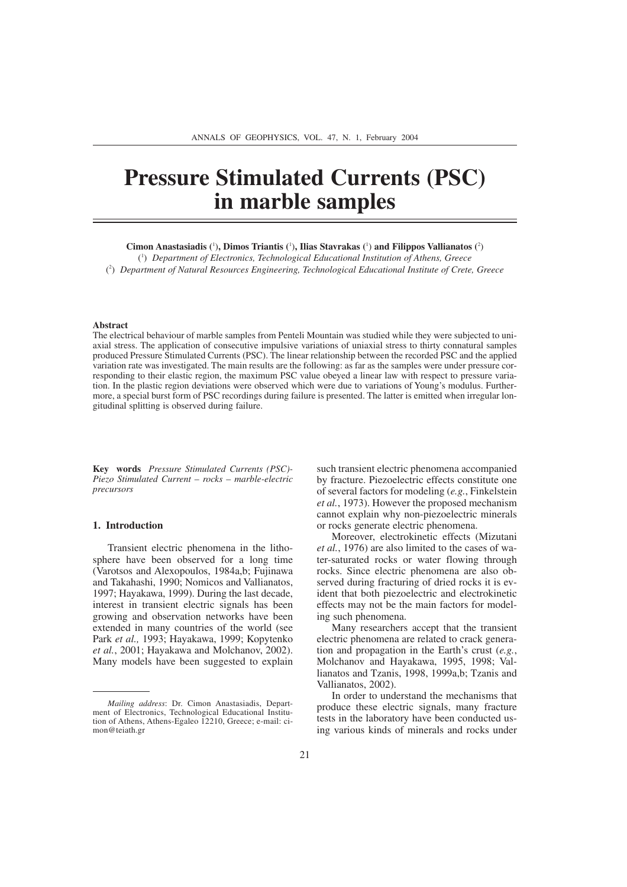# **Pressure Stimulated Currents (PSC) in marble samples**

**Cimon Anastasiadis (**<sup>1</sup> )**, Dimos Triantis (**<sup>1</sup> )**, Ilias Stavrakas (**<sup>1</sup> ) **and Filippos Vallianatos (**<sup>2</sup> )

( 1 ) *Department of Electronics, Technological Educational Institution of Athens, Greece* ( 2 ) *Department of Natural Resources Engineering, Technological Educational Institute of Crete, Greece*

#### **Abstract**

The electrical behaviour of marble samples from Penteli Mountain was studied while they were subjected to uniaxial stress. The application of consecutive impulsive variations of uniaxial stress to thirty connatural samples produced Pressure Stimulated Currents (PSC). The linear relationship between the recorded PSC and the applied variation rate was investigated. The main results are the following: as far as the samples were under pressure corresponding to their elastic region, the maximum PSC value obeyed a linear law with respect to pressure variation. In the plastic region deviations were observed which were due to variations of Young's modulus. Furthermore, a special burst form of PSC recordings during failure is presented. The latter is emitted when irregular longitudinal splitting is observed during failure.

**Key words** *Pressure Stimulated Currents (PSC)- Piezo Stimulated Current – rocks – marble-electric precursors*

### **1. Introduction**

Transient electric phenomena in the lithosphere have been observed for a long time (Varotsos and Alexopoulos, 1984a,b; Fujinawa and Takahashi, 1990; Nomicos and Vallianatos, 1997; Hayakawa, 1999). During the last decade, interest in transient electric signals has been growing and observation networks have been extended in many countries of the world (see Park *et al.,* 1993; Hayakawa, 1999; Kopytenko *et al.*, 2001; Hayakawa and Molchanov, 2002). Many models have been suggested to explain

such transient electric phenomena accompanied by fracture. Piezoelectric effects constitute one of several factors for modeling (*e.g.*, Finkelstein *et al.*, 1973). However the proposed mechanism cannot explain why non-piezoelectric minerals or rocks generate electric phenomena.

Moreover, electrokinetic effects (Mizutani *et al.*, 1976) are also limited to the cases of water-saturated rocks or water flowing through rocks. Since electric phenomena are also observed during fracturing of dried rocks it is evident that both piezoelectric and electrokinetic effects may not be the main factors for modeling such phenomena.

Many researchers accept that the transient electric phenomena are related to crack generation and propagation in the Earth's crust (*e.g.*, Molchanov and Hayakawa, 1995, 1998; Vallianatos and Tzanis, 1998, 1999a,b; Tzanis and Vallianatos, 2002).

In order to understand the mechanisms that produce these electric signals, many fracture tests in the laboratory have been conducted using various kinds of minerals and rocks under

*Mailing address*: Dr. Cimon Anastasiadis, Department of Electronics, Technological Educational Institution of Athens, Athens-Egaleo 12210, Greece; e-mail: cimon@teiath.gr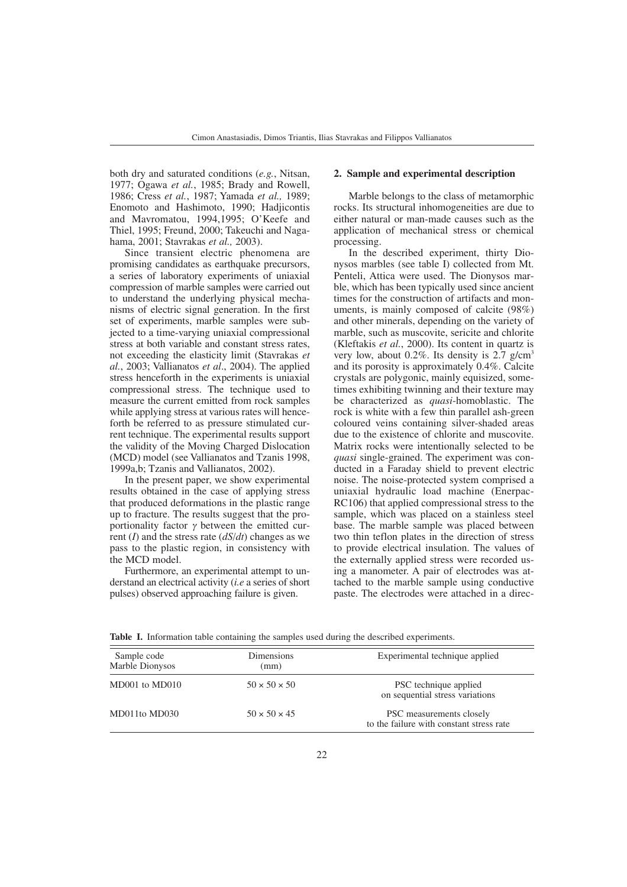both dry and saturated conditions (*e.g.*, Nitsan, 1977; Ogawa *et al.*, 1985; Brady and Rowell, 1986; Cress *et al.*, 1987; Yamada *et al.,* 1989; Enomoto and Hashimoto, 1990; Hadjicontis and Mavromatou, 1994,1995; O'Keefe and Thiel, 1995; Freund, 2000; Takeuchi and Nagahama, 2001; Stavrakas *et al.,* 2003).

Since transient electric phenomena are promising candidates as earthquake precursors, a series of laboratory experiments of uniaxial compression of marble samples were carried out to understand the underlying physical mechanisms of electric signal generation. In the first set of experiments, marble samples were subjected to a time-varying uniaxial compressional stress at both variable and constant stress rates, not exceeding the elasticity limit (Stavrakas *et al.*, 2003; Vallianatos *et al*., 2004). The applied stress henceforth in the experiments is uniaxial compressional stress. The technique used to measure the current emitted from rock samples while applying stress at various rates will henceforth be referred to as pressure stimulated current technique. The experimental results support the validity of the Moving Charged Dislocation (MCD) model (see Vallianatos and Tzanis 1998, 1999a,b; Tzanis and Vallianatos, 2002).

In the present paper, we show experimental results obtained in the case of applying stress that produced deformations in the plastic range up to fracture. The results suggest that the proportionality factor  $\gamma$  between the emitted current (*I*) and the stress rate (*dS*/*dt*) changes as we pass to the plastic region, in consistency with the MCD model.

Furthermore, an experimental attempt to understand an electrical activity (*i.e* a series of short pulses) observed approaching failure is given.

#### **2. Sample and experimental description**

Marble belongs to the class of metamorphic rocks. Its structural inhomogeneities are due to either natural or man-made causes such as the application of mechanical stress or chemical processing.

In the described experiment, thirty Dionysos marbles (see table I) collected from Mt. Penteli, Attica were used. The Dionysos marble, which has been typically used since ancient times for the construction of artifacts and monuments, is mainly composed of calcite (98%) and other minerals, depending on the variety of marble, such as muscovite, sericite and chlorite (Kleftakis *et al.*, 2000). Its content in quartz is very low, about  $0.2\%$ . Its density is 2.7 g/cm<sup>3</sup> and its porosity is approximately 0.4%. Calcite crystals are polygonic, mainly equisized, sometimes exhibiting twinning and their texture may be characterized as *quasi*-homoblastic. The rock is white with a few thin parallel ash-green coloured veins containing silver-shaded areas due to the existence of chlorite and muscovite. Matrix rocks were intentionally selected to be *quasi* single-grained. The experiment was conducted in a Faraday shield to prevent electric noise. The noise-protected system comprised a uniaxial hydraulic load machine (Enerpac-RC106) that applied compressional stress to the sample, which was placed on a stainless steel base. The marble sample was placed between two thin teflon plates in the direction of stress to provide electrical insulation. The values of the externally applied stress were recorded using a manometer. A pair of electrodes was attached to the marble sample using conductive paste. The electrodes were attached in a direc-

| Sample code<br>Marble Dionysos | Dimensions<br>(mm)       | Experimental technique applied                                       |
|--------------------------------|--------------------------|----------------------------------------------------------------------|
| MD001 to MD010                 | $50 \times 50 \times 50$ | PSC technique applied<br>on sequential stress variations             |
| MD011to MD030                  | $50 \times 50 \times 45$ | PSC measurements closely<br>to the failure with constant stress rate |

**Table I.** Information table containing the samples used during the described experiments.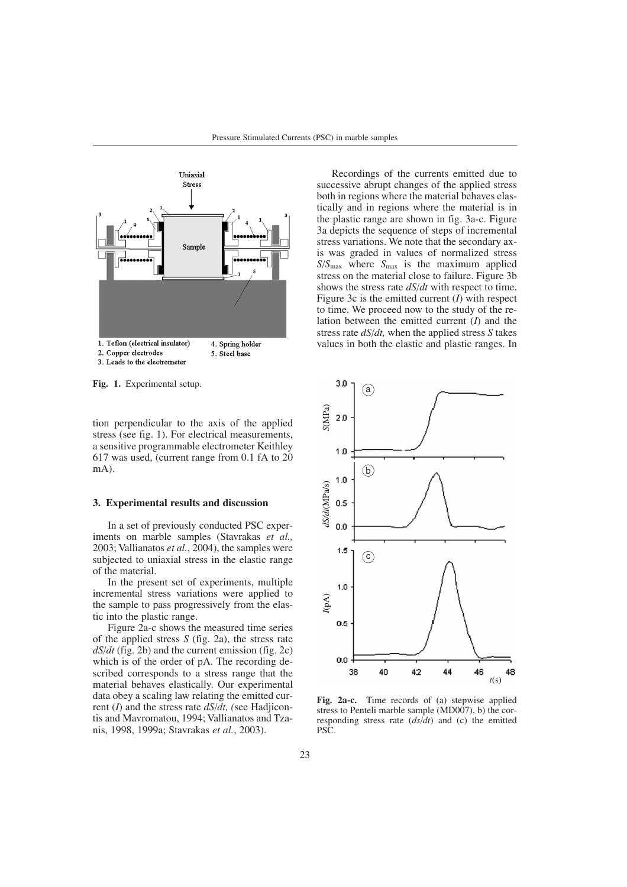

2. Copper electrodes 5. Steel base 3. Leads to the electrometer

**Fig. 1.** Experimental setup.

tion perpendicular to the axis of the applied stress (see fig. 1). For electrical measurements, a sensitive programmable electrometer Keithley 617 was used, (current range from 0.1 fA to 20 mA).

# **3. Experimental results and discussion**

In a set of previously conducted PSC experiments on marble samples (Stavrakas *et al.,* 2003; Vallianatos *et al.*, 2004), the samples were subjected to uniaxial stress in the elastic range of the material.

In the present set of experiments, multiple incremental stress variations were applied to the sample to pass progressively from the elastic into the plastic range.

Figure 2a-c shows the measured time series of the applied stress *S* (fig. 2a), the stress rate *dS*/*dt* (fig. 2b) and the current emission (fig. 2c) which is of the order of pA. The recording described corresponds to a stress range that the material behaves elastically. Our experimental data obey a scaling law relating the emitted current (*I*) and the stress rate *dS*/*dt, (*see Hadjicontis and Mavromatou, 1994; Vallianatos and Tzanis, 1998, 1999a; Stavrakas *et al.*, 2003).

Recordings of the currents emitted due to successive abrupt changes of the applied stress both in regions where the material behaves elastically and in regions where the material is in the plastic range are shown in fig. 3a-c. Figure 3a depicts the sequence of steps of incremental stress variations. We note that the secondary axis was graded in values of normalized stress *S*/*S*max where *S*max is the maximum applied stress on the material close to failure. Figure 3b shows the stress rate *dS*/*dt* with respect to time. Figure 3c is the emitted current (*I*) with respect to time. We proceed now to the study of the relation between the emitted current (*I*) and the stress rate *dS*/*dt,* when the applied stress *S* takes values in both the elastic and plastic ranges. In



**Fig. 2a-c.** Time records of (a) stepwise applied stress to Penteli marble sample (MD007), b) the corresponding stress rate (*ds*/*dt*) and (c) the emitted PSC.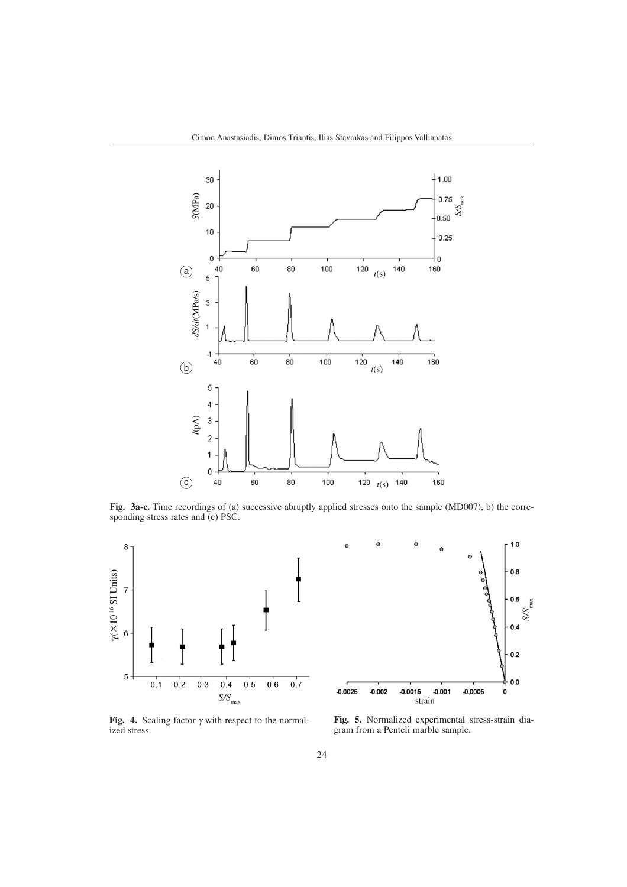

**Fig. 3a-c.** Time recordings of (a) successive abruptly applied stresses onto the sample (MD007), b) the corresponding stress rates and  $(c)$  PSC.





**Fig. 4.** Scaling factor  $\gamma$  with respect to the normalized stress.

**Fig. 5.** Normalized experimental stress-strain diagram from a Penteli marble sample.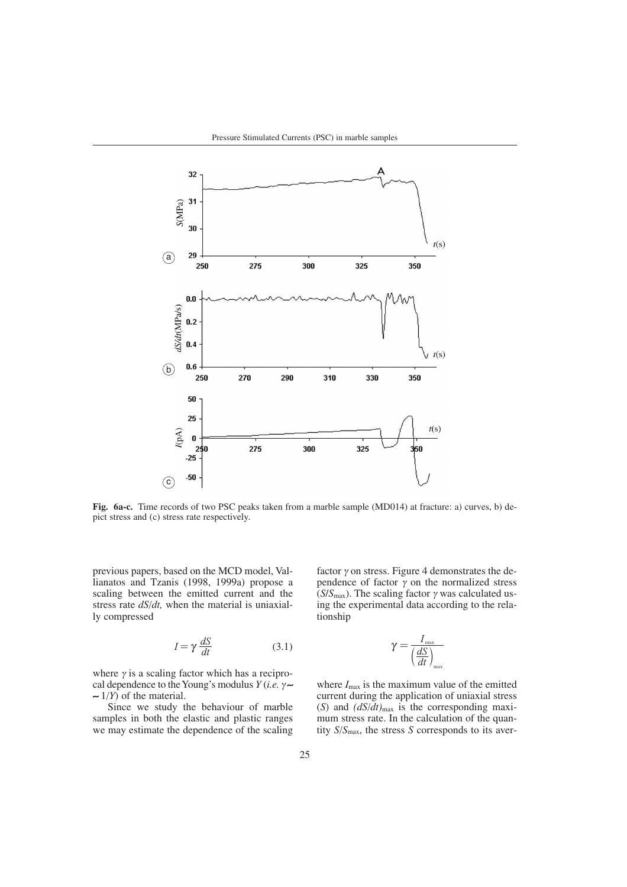

**Fig. 6a-c.** Time records of two PSC peaks taken from a marble sample (MD014) at fracture: a) curves, b) depict stress and (c) stress rate respectively.

previous papers, based on the MCD model, Vallianatos and Tzanis (1998, 1999a) propose a scaling between the emitted current and the stress rate *dS*/*dt,* when the material is uniaxially compressed

$$
I = \gamma \frac{dS}{dt} \tag{3.1}
$$

where  $\gamma$  is a scaling factor which has a reciprocal dependence to the Young's modulus *Y* (*i.e.* <sup>γ</sup> ∼ ∼ 1/*Y*) of the material.

Since we study the behaviour of marble samples in both the elastic and plastic ranges we may estimate the dependence of the scaling factor  $\gamma$  on stress. Figure 4 demonstrates the dependence of factor  $\gamma$  on the normalized stress ( $S/S<sub>max</sub>$ ). The scaling factor  $\gamma$  was calculated using the experimental data according to the relationship

$$
\gamma = \frac{I_{\text{max}}}{\left(\frac{dS}{dt}\right)_{\text{max}}}
$$

where  $I_{\text{max}}$  is the maximum value of the emitted current during the application of uniaxial stress (*S*) and  $(dS/dt)_{\text{max}}$  is the corresponding maximum stress rate. In the calculation of the quantity *S*/*S*max, the stress *S* corresponds to its aver-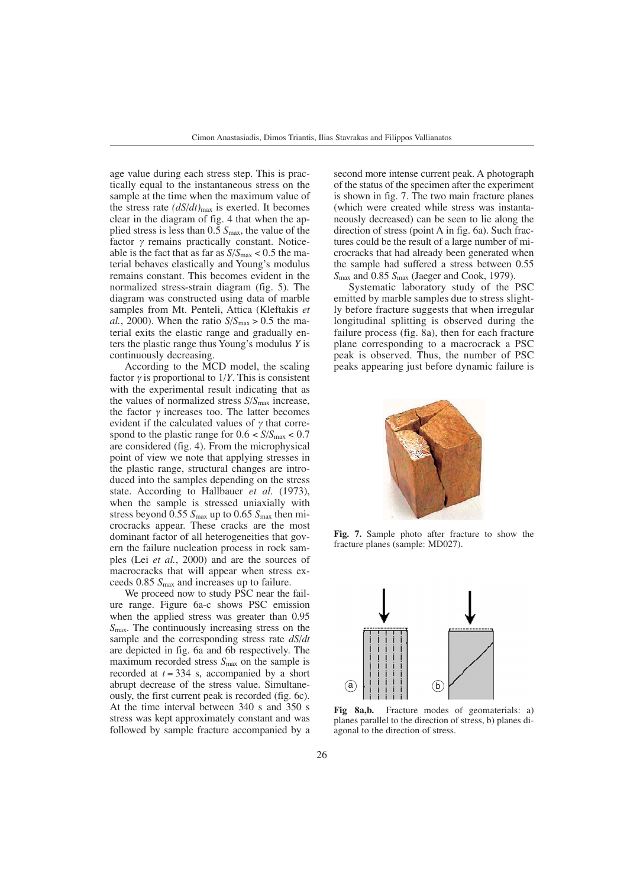age value during each stress step. This is practically equal to the instantaneous stress on the sample at the time when the maximum value of the stress rate *(dS*/*dt)*max is exerted. It becomes clear in the diagram of fig. 4 that when the applied stress is less than 0.5 *S*max, the value of the factor  $\gamma$  remains practically constant. Noticeable is the fact that as far as  $S/S_{\text{max}} < 0.5$  the material behaves elastically and Young's modulus remains constant. This becomes evident in the normalized stress-strain diagram (fig. 5). The diagram was constructed using data of marble samples from Mt. Penteli, Attica (Kleftakis *et al.*, 2000). When the ratio  $S/S_{\text{max}} > 0.5$  the material exits the elastic range and gradually enters the plastic range thus Young's modulus *Y* is continuously decreasing.

According to the MCD model, the scaling factor  $\gamma$  is proportional to 1/*Y*. This is consistent with the experimental result indicating that as the values of normalized stress *S*/*S*max increase, the factor  $γ$  increases too. The latter becomes evident if the calculated values of  $\gamma$  that correspond to the plastic range for  $0.6 < S/S<sub>max</sub> < 0.7$ are considered (fig. 4). From the microphysical point of view we note that applying stresses in the plastic range, structural changes are introduced into the samples depending on the stress state. According to Hallbauer *et al.* (1973), when the sample is stressed uniaxially with stress beyond 0.55 *S*max up to 0.65 *S*max then microcracks appear. These cracks are the most dominant factor of all heterogeneities that govern the failure nucleation process in rock samples (Lei *et al.*, 2000) and are the sources of macrocracks that will appear when stress exceeds 0.85 *S*max and increases up to failure.

We proceed now to study PSC near the failure range. Figure 6a-c shows PSC emission when the applied stress was greater than 0.95 *S*max. The continuously increasing stress on the sample and the corresponding stress rate *dS*/*dt* are depicted in fig. 6a and 6b respectively. The maximum recorded stress *S*max on the sample is recorded at  $t = 334$  s, accompanied by a short abrupt decrease of the stress value. Simultaneously, the first current peak is recorded (fig. 6c). At the time interval between 340 s and 350 s stress was kept approximately constant and was followed by sample fracture accompanied by a

second more intense current peak. A photograph of the status of the specimen after the experiment is shown in fig. 7. The two main fracture planes (which were created while stress was instantaneously decreased) can be seen to lie along the direction of stress (point A in fig. 6a). Such fractures could be the result of a large number of microcracks that had already been generated when the sample had suffered a stress between 0.55 *S*max and 0.85 *S*max (Jaeger and Cook, 1979).

Systematic laboratory study of the PSC emitted by marble samples due to stress slightly before fracture suggests that when irregular longitudinal splitting is observed during the failure process (fig. 8a), then for each fracture plane corresponding to a macrocrack a PSC peak is observed. Thus, the number of PSC peaks appearing just before dynamic failure is



**Fig. 7.** Sample photo after fracture to show the fracture planes (sample: MD027).



**Fig 8a,b.** Fracture modes of geomaterials: a) planes parallel to the direction of stress, b) planes diagonal to the direction of stress.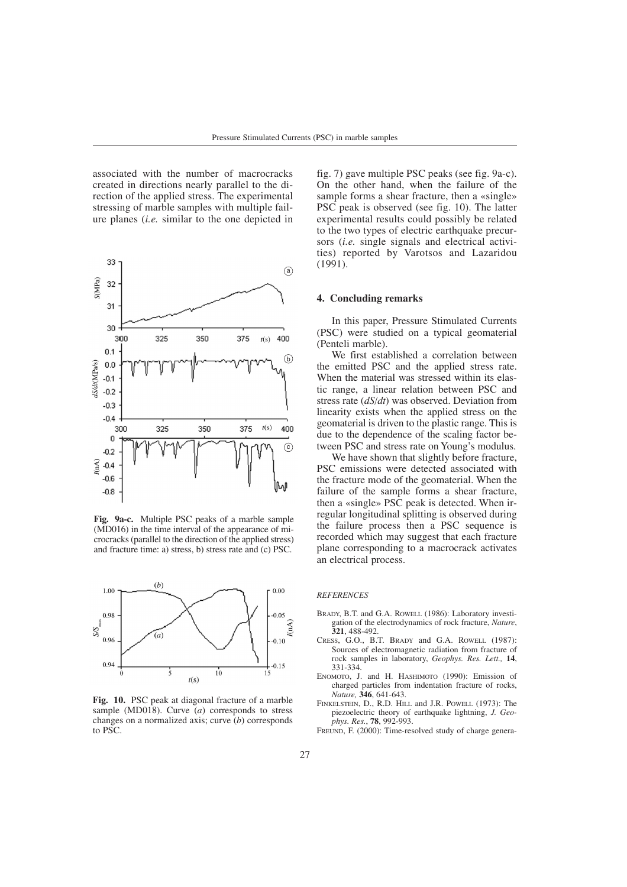associated with the number of macrocracks created in directions nearly parallel to the direction of the applied stress. The experimental stressing of marble samples with multiple failure planes (*i.e.* similar to the one depicted in



**Fig. 9a-c.** Multiple PSC peaks of a marble sample (MD016) in the time interval of the appearance of microcracks (parallel to the direction of the applied stress) and fracture time: a) stress, b) stress rate and (c) PSC.



**Fig. 10.** PSC peak at diagonal fracture of a marble sample (MD018). Curve (*a*) corresponds to stress changes on a normalized axis; curve (*b*) corresponds to PSC.

fig. 7) gave multiple PSC peaks (see fig. 9a-c). On the other hand, when the failure of the sample forms a shear fracture, then a «single» PSC peak is observed (see fig. 10). The latter experimental results could possibly be related to the two types of electric earthquake precursors (*i.e.* single signals and electrical activities) reported by Varotsos and Lazaridou (1991).

#### **4. Concluding remarks**

In this paper, Pressure Stimulated Currents (PSC) were studied on a typical geomaterial (Penteli marble).

We first established a correlation between the emitted PSC and the applied stress rate. When the material was stressed within its elastic range, a linear relation between PSC and stress rate (*dS*/*dt*) was observed. Deviation from linearity exists when the applied stress on the geomaterial is driven to the plastic range. This is due to the dependence of the scaling factor between PSC and stress rate on Young's modulus.

We have shown that slightly before fracture. PSC emissions were detected associated with the fracture mode of the geomaterial. When the failure of the sample forms a shear fracture, then a «single» PSC peak is detected. When irregular longitudinal splitting is observed during the failure process then a PSC sequence is recorded which may suggest that each fracture plane corresponding to a macrocrack activates an electrical process.

## *REFERENCES*

- BRADY, B.T. and G.A. ROWELL (1986): Laboratory investigation of the electrodynamics of rock fracture, *Nature*, **321**, 488-492.
- CRESS, G.O., B.T. BRADY and G.A. ROWELL (1987): Sources of electromagnetic radiation from fracture of rock samples in laboratory, *Geophys. Res. Lett.,* **14**, 331-334.
- ENOMOTO, J. and H. HASHIMOTO (1990): Emission of charged particles from indentation fracture of rocks, *Nature,* **346**, 641-643.
- FINKELSTEIN, D., R.D. HILL and J.R. POWELL (1973): The piezoelectric theory of earthquake lightning, *J. Geophys. Res.*, **78**, 992-993.
- FREUND, F. (2000): Time-resolved study of charge genera-